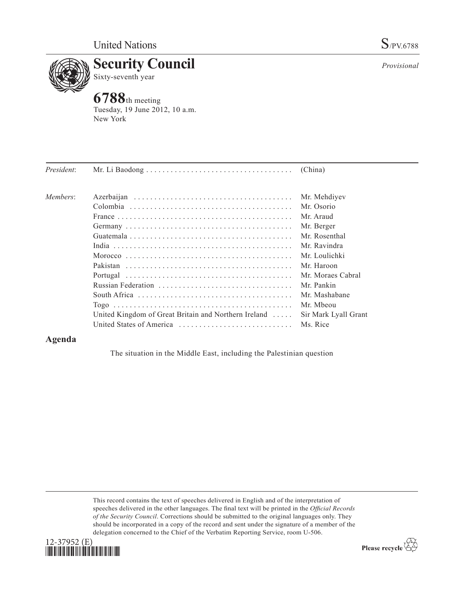

## **Security Council** Sixty-seventh year

**6788**th meeting Tuesday, 19 June 2012, 10 a.m. New York

| President: |                                                      |                      |
|------------|------------------------------------------------------|----------------------|
| Members:   |                                                      | Mr. Mehdiyev         |
|            |                                                      | Mr. Osorio           |
|            |                                                      | Mr. Araud            |
|            |                                                      | Mr. Berger           |
|            |                                                      | Mr. Rosenthal        |
|            |                                                      | Mr. Ravindra         |
|            |                                                      | Mr. Loulichki        |
|            |                                                      | Mr. Haroon           |
|            |                                                      | Mr. Moraes Cabral    |
|            |                                                      | Mr. Pankin           |
|            |                                                      | Mr. Mashabane        |
|            |                                                      | Mr. Mbeou            |
|            | United Kingdom of Great Britain and Northern Ireland | Sir Mark Lyall Grant |
|            | United States of America                             | Ms. Rice             |

## **Agenda**

The situation in the Middle East, including the Palestinian question

This record contains the text of speeches delivered in English and of the interpretation of speeches delivered in the other languages. The final text will be printed in the *Official Records of the Security Council*. Corrections should be submitted to the original languages only. They should be incorporated in a copy of the record and sent under the signature of a member of the delegation concerned to the Chief of the Verbatim Reporting Service, room U-506.



Please recycle  $\overleftrightarrow{C}$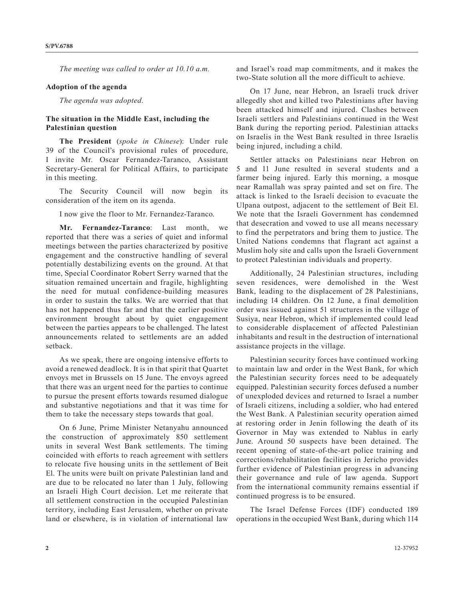*The meeting was called to order at 10.10 a.m.*

## **Adoption of the agenda**

*The agenda was adopted.* 

## **The situation in the Middle East, including the Palestinian question**

**The President** (*spoke in Chinese*): Under rule 39 of the Council's provisional rules of procedure, I invite Mr. Oscar Fernandez-Taranco, Assistant Secretary-General for Political Affairs, to participate in this meeting.

The Security Council will now begin its consideration of the item on its agenda.

I now give the floor to Mr. Fernandez-Taranco.

**Mr. Fernandez-Taranco**: Last month, we reported that there was a series of quiet and informal meetings between the parties characterized by positive engagement and the constructive handling of several potentially destabilizing events on the ground. At that time, Special Coordinator Robert Serry warned that the situation remained uncertain and fragile, highlighting the need for mutual confidence-building measures in order to sustain the talks. We are worried that that has not happened thus far and that the earlier positive environment brought about by quiet engagement between the parties appears to be challenged. The latest announcements related to settlements are an added setback.

As we speak, there are ongoing intensive efforts to avoid a renewed deadlock. It is in that spirit that Quartet envoys met in Brussels on 15 June. The envoys agreed that there was an urgent need for the parties to continue to pursue the present efforts towards resumed dialogue and substantive negotiations and that it was time for them to take the necessary steps towards that goal.

On 6 June, Prime Minister Netanyahu announced the construction of approximately 850 settlement units in several West Bank settlements. The timing coincided with efforts to reach agreement with settlers to relocate five housing units in the settlement of Beit El. The units were built on private Palestinian land and are due to be relocated no later than 1 July, following an Israeli High Court decision. Let me reiterate that all settlement construction in the occupied Palestinian territory, including East Jerusalem, whether on private land or elsewhere, is in violation of international law

and Israel's road map commitments, and it makes the two-State solution all the more difficult to achieve.

On 17 June, near Hebron, an Israeli truck driver allegedly shot and killed two Palestinians after having been attacked himself and injured. Clashes between Israeli settlers and Palestinians continued in the West Bank during the reporting period. Palestinian attacks on Israelis in the West Bank resulted in three Israelis being injured, including a child.

Settler attacks on Palestinians near Hebron on 5 and 11 June resulted in several students and a farmer being injured. Early this morning, a mosque near Ramallah was spray painted and set on fire. The attack is linked to the Israeli decision to evacuate the Ulpana outpost, adjacent to the settlement of Beit El. We note that the Israeli Government has condemned that desecration and vowed to use all means necessary to find the perpetrators and bring them to justice. The United Nations condemns that flagrant act against a Muslim holy site and calls upon the Israeli Government to protect Palestinian individuals and property.

Additionally, 24 Palestinian structures, including seven residences, were demolished in the West Bank, leading to the displacement of 28 Palestinians, including 14 children. On 12 June, a final demolition order was issued against 51 structures in the village of Susiya, near Hebron, which if implemented could lead to considerable displacement of affected Palestinian inhabitants and result in the destruction of international assistance projects in the village.

Palestinian security forces have continued working to maintain law and order in the West Bank, for which the Palestinian security forces need to be adequately equipped. Palestinian security forces defused a number of unexploded devices and returned to Israel a number of Israeli citizens, including a soldier, who had entered the West Bank. A Palestinian security operation aimed at restoring order in Jenin following the death of its Governor in May was extended to Nablus in early June. Around 50 suspects have been detained. The recent opening of state-of-the-art police training and corrections/rehabilitation facilities in Jericho provides further evidence of Palestinian progress in advancing their governance and rule of law agenda. Support from the international community remains essential if continued progress is to be ensured.

The Israel Defense Forces (IDF) conducted 189 operations in the occupied West Bank, during which 114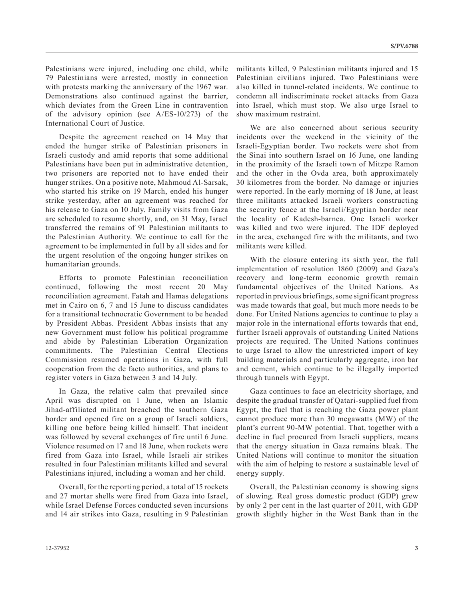Palestinians were injured, including one child, while 79 Palestinians were arrested, mostly in connection with protests marking the anniversary of the 1967 war. Demonstrations also continued against the barrier, which deviates from the Green Line in contravention of the advisory opinion (see A/ES-10/273) of the International Court of Justice.

Despite the agreement reached on 14 May that ended the hunger strike of Palestinian prisoners in Israeli custody and amid reports that some additional Palestinians have been put in administrative detention, two prisoners are reported not to have ended their hunger strikes. On a positive note, Mahmoud Al-Sarsak, who started his strike on 19 March, ended his hunger strike yesterday, after an agreement was reached for his release to Gaza on 10 July. Family visits from Gaza are scheduled to resume shortly, and, on 31 May, Israel transferred the remains of 91 Palestinian militants to the Palestinian Authority. We continue to call for the agreement to be implemented in full by all sides and for the urgent resolution of the ongoing hunger strikes on humanitarian grounds.

Efforts to promote Palestinian reconciliation continued, following the most recent 20 May reconciliation agreement. Fatah and Hamas delegations met in Cairo on 6, 7 and 15 June to discuss candidates for a transitional technocratic Government to be headed by President Abbas. President Abbas insists that any new Government must follow his political programme and abide by Palestinian Liberation Organization commitments. The Palestinian Central Elections Commission resumed operations in Gaza, with full cooperation from the de facto authorities, and plans to register voters in Gaza between 3 and 14 July.

In Gaza, the relative calm that prevailed since April was disrupted on 1 June, when an Islamic Jihad-affiliated militant breached the southern Gaza border and opened fire on a group of Israeli soldiers, killing one before being killed himself. That incident was followed by several exchanges of fire until 6 June. Violence resumed on 17 and 18 June, when rockets were fired from Gaza into Israel, while Israeli air strikes resulted in four Palestinian militants killed and several Palestinians injured, including a woman and her child.

Overall, for the reporting period, a total of 15 rockets and 27 mortar shells were fired from Gaza into Israel, while Israel Defense Forces conducted seven incursions and 14 air strikes into Gaza, resulting in 9 Palestinian militants killed, 9 Palestinian militants injured and 15 Palestinian civilians injured. Two Palestinians were also killed in tunnel-related incidents. We continue to condemn all indiscriminate rocket attacks from Gaza into Israel, which must stop. We also urge Israel to show maximum restraint.

We are also concerned about serious security incidents over the weekend in the vicinity of the Israeli-Egyptian border. Two rockets were shot from the Sinai into southern Israel on 16 June, one landing in the proximity of the Israeli town of Mitzpe Ramon and the other in the Ovda area, both approximately 30 kilometres from the border. No damage or injuries were reported. In the early morning of 18 June, at least three militants attacked Israeli workers constructing the security fence at the Israeli/Egyptian border near the locality of Kadesh-barnea. One Israeli worker was killed and two were injured. The IDF deployed in the area, exchanged fire with the militants, and two militants were killed.

With the closure entering its sixth year, the full implementation of resolution 1860 (2009) and Gaza's recovery and long-term economic growth remain fundamental objectives of the United Nations. As reported in previous briefings, some significant progress was made towards that goal, but much more needs to be done. For United Nations agencies to continue to play a major role in the international efforts towards that end, further Israeli approvals of outstanding United Nations projects are required. The United Nations continues to urge Israel to allow the unrestricted import of key building materials and particularly aggregate, iron bar and cement, which continue to be illegally imported through tunnels with Egypt.

Gaza continues to face an electricity shortage, and despite the gradual transfer of Qatari-supplied fuel from Egypt, the fuel that is reaching the Gaza power plant cannot produce more than 30 megawatts (MW) of the plant's current 90-MW potential. That, together with a decline in fuel procured from Israeli suppliers, means that the energy situation in Gaza remains bleak. The United Nations will continue to monitor the situation with the aim of helping to restore a sustainable level of energy supply.

Overall, the Palestinian economy is showing signs of slowing. Real gross domestic product (GDP) grew by only 2 per cent in the last quarter of 2011, with GDP growth slightly higher in the West Bank than in the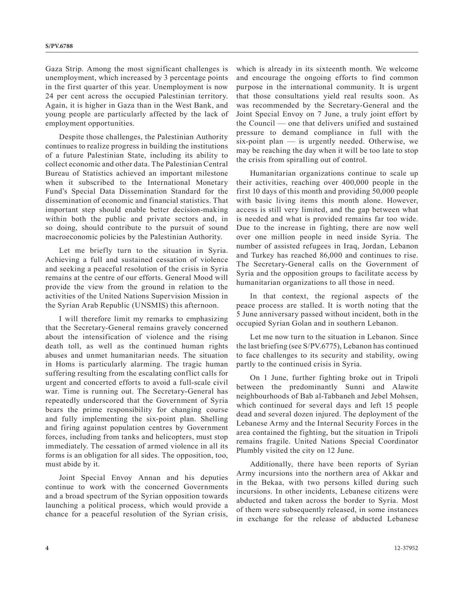Gaza Strip. Among the most significant challenges is unemployment, which increased by 3 percentage points in the first quarter of this year. Unemployment is now 24 per cent across the occupied Palestinian territory. Again, it is higher in Gaza than in the West Bank, and young people are particularly affected by the lack of employment opportunities.

Despite those challenges, the Palestinian Authority continues to realize progress in building the institutions of a future Palestinian State, including its ability to collect economic and other data. The Palestinian Central Bureau of Statistics achieved an important milestone when it subscribed to the International Monetary Fund's Special Data Dissemination Standard for the dissemination of economic and financial statistics. That important step should enable better decision-making within both the public and private sectors and, in so doing, should contribute to the pursuit of sound macroeconomic policies by the Palestinian Authority.

Let me briefly turn to the situation in Syria. Achieving a full and sustained cessation of violence and seeking a peaceful resolution of the crisis in Syria remains at the centre of our efforts. General Mood will provide the view from the ground in relation to the activities of the United Nations Supervision Mission in the Syrian Arab Republic (UNSMIS) this afternoon.

I will therefore limit my remarks to emphasizing that the Secretary-General remains gravely concerned about the intensification of violence and the rising death toll, as well as the continued human rights abuses and unmet humanitarian needs. The situation in Homs is particularly alarming. The tragic human suffering resulting from the escalating conflict calls for urgent and concerted efforts to avoid a full-scale civil war. Time is running out. The Secretary-General has repeatedly underscored that the Government of Syria bears the prime responsibility for changing course and fully implementing the six-point plan. Shelling and firing against population centres by Government forces, including from tanks and helicopters, must stop immediately. The cessation of armed violence in all its forms is an obligation for all sides. The opposition, too, must abide by it.

Joint Special Envoy Annan and his deputies continue to work with the concerned Governments and a broad spectrum of the Syrian opposition towards launching a political process, which would provide a chance for a peaceful resolution of the Syrian crisis,

which is already in its sixteenth month. We welcome and encourage the ongoing efforts to find common purpose in the international community. It is urgent that those consultations yield real results soon. As was recommended by the Secretary-General and the Joint Special Envoy on 7 June, a truly joint effort by the Council — one that delivers unified and sustained pressure to demand compliance in full with the six-point plan — is urgently needed. Otherwise, we may be reaching the day when it will be too late to stop the crisis from spiralling out of control.

Humanitarian organizations continue to scale up their activities, reaching over 400,000 people in the first 10 days of this month and providing 50,000 people with basic living items this month alone. However, access is still very limited, and the gap between what is needed and what is provided remains far too wide. Due to the increase in fighting, there are now well over one million people in need inside Syria. The number of assisted refugees in Iraq, Jordan, Lebanon and Turkey has reached 86,000 and continues to rise. The Secretary-General calls on the Government of Syria and the opposition groups to facilitate access by humanitarian organizations to all those in need.

In that context, the regional aspects of the peace process are stalled. It is worth noting that the 5 June anniversary passed without incident, both in the occupied Syrian Golan and in southern Lebanon.

Let me now turn to the situation in Lebanon. Since the last briefing (see S/PV.6775), Lebanon has continued to face challenges to its security and stability, owing partly to the continued crisis in Syria.

On 1 June, further fighting broke out in Tripoli between the predominantly Sunni and Alawite neighbourhoods of Bab al-Tabbaneh and Jebel Mohsen, which continued for several days and left 15 people dead and several dozen injured. The deployment of the Lebanese Army and the Internal Security Forces in the area contained the fighting, but the situation in Tripoli remains fragile. United Nations Special Coordinator Plumbly visited the city on 12 June.

Additionally, there have been reports of Syrian Army incursions into the northern area of Akkar and in the Bekaa, with two persons killed during such incursions. In other incidents, Lebanese citizens were abducted and taken across the border to Syria. Most of them were subsequently released, in some instances in exchange for the release of abducted Lebanese